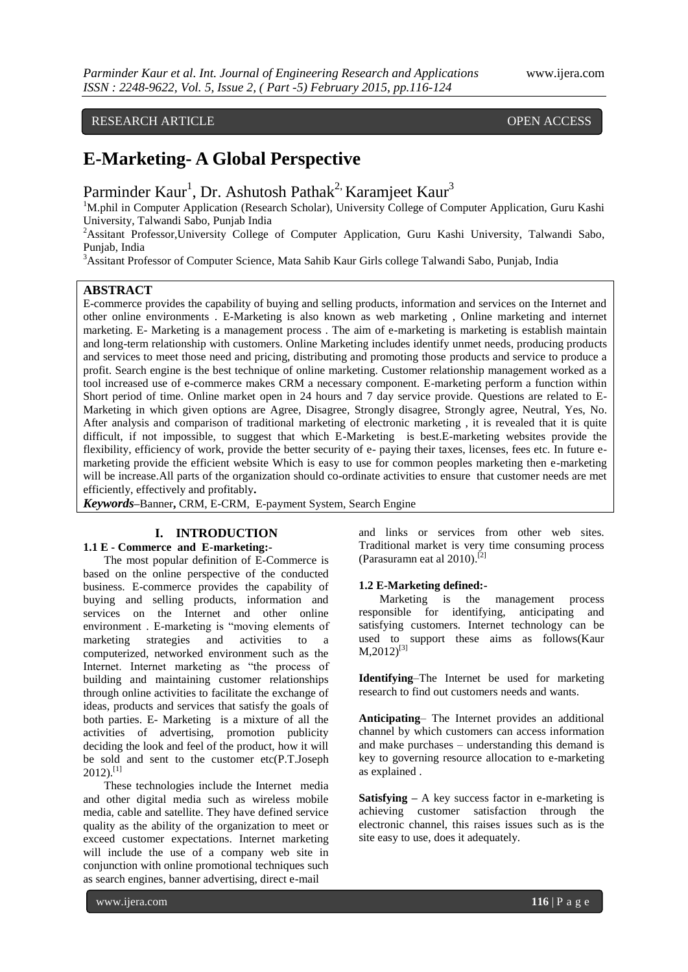# RESEARCH ARTICLE OPEN ACCESS

# **E-Marketing- A Global Perspective**

Parminder Kaur<sup>1</sup>, Dr. Ashutosh Pathak<sup>2,</sup> Karamjeet Kaur<sup>3</sup>

<sup>1</sup>M.phil in Computer Application (Research Scholar), University College of Computer Application, Guru Kashi University, Talwandi Sabo, Punjab India

<sup>2</sup>Assitant Professor, University College of Computer Application, Guru Kashi University, Talwandi Sabo, Punjab, India

<sup>3</sup>Assitant Professor of Computer Science, Mata Sahib Kaur Girls college Talwandi Sabo, Punjab, India

#### **ABSTRACT**

E-commerce provides the capability of buying and selling products, information and services on the Internet and other online environments . E-Marketing is also known as web marketing , Online marketing and internet marketing. E- Marketing is a management process . The aim of e-marketing is marketing is establish maintain and long-term relationship with customers. Online Marketing includes identify unmet needs, producing products and services to meet those need and pricing, distributing and promoting those products and service to produce a profit. Search engine is the best technique of online marketing. Customer relationship management worked as a tool increased use of e-commerce makes CRM a necessary component. E-marketing perform a function within Short period of time. Online market open in 24 hours and 7 day service provide. Questions are related to E-Marketing in which given options are Agree, Disagree, Strongly disagree, Strongly agree, Neutral, Yes, No. After analysis and comparison of traditional marketing of electronic marketing , it is revealed that it is quite difficult, if not impossible, to suggest that which E-Marketing is best.E-marketing websites provide the flexibility, efficiency of work, provide the better security of e- paying their taxes, licenses, fees etc. In future emarketing provide the efficient website Which is easy to use for common peoples marketing then e-marketing will be increase.All parts of the organization should co-ordinate activities to ensure that customer needs are met efficiently, effectively and profitably**.**

*Keywords***–**Banner**,** CRM, E-CRM, E-payment System, Search Engine

#### **I. INTRODUCTION**

#### **1.1 E - Commerce and E-marketing:-**

The most popular definition of E-Commerce is based on the online perspective of the conducted business. E-commerce provides the capability of buying and selling products, information and services on the Internet and other online environment . E-marketing is "moving elements of marketing strategies and activities to a computerized, networked environment such as the Internet. Internet marketing as "the process of building and maintaining customer relationships through online activities to facilitate the exchange of ideas, products and services that satisfy the goals of both parties. E- Marketing is a mixture of all the activities of advertising, promotion publicity deciding the look and feel of the product, how it will be sold and sent to the customer etc(P.T.Joseph  $2012$ ).<sup>[1]</sup>

These technologies include the Internet media and other digital media such as wireless mobile media, cable and satellite. They have defined service quality as the ability of the organization to meet or exceed customer expectations. Internet marketing will include the use of a company web site in conjunction with online promotional techniques such as search engines, banner advertising, direct e-mail

and links or services from other web sites. Traditional market is very time consuming process (Parasuramn eat al 2010). [2]

#### **1.2 E-Marketing defined:-**

Marketing is the management process responsible for identifying, anticipating and satisfying customers. Internet technology can be used to support these aims as follows(Kaur  $M$ ,2012)<sup>[3]</sup>

**Identifying**–The Internet be used for marketing research to find out customers needs and wants.

**Anticipating**– The Internet provides an additional channel by which customers can access information and make purchases – understanding this demand is key to governing resource allocation to e-marketing as explained .

**Satisfying –** A key success factor in e-marketing is achieving customer satisfaction through the electronic channel, this raises issues such as is the site easy to use, does it adequately.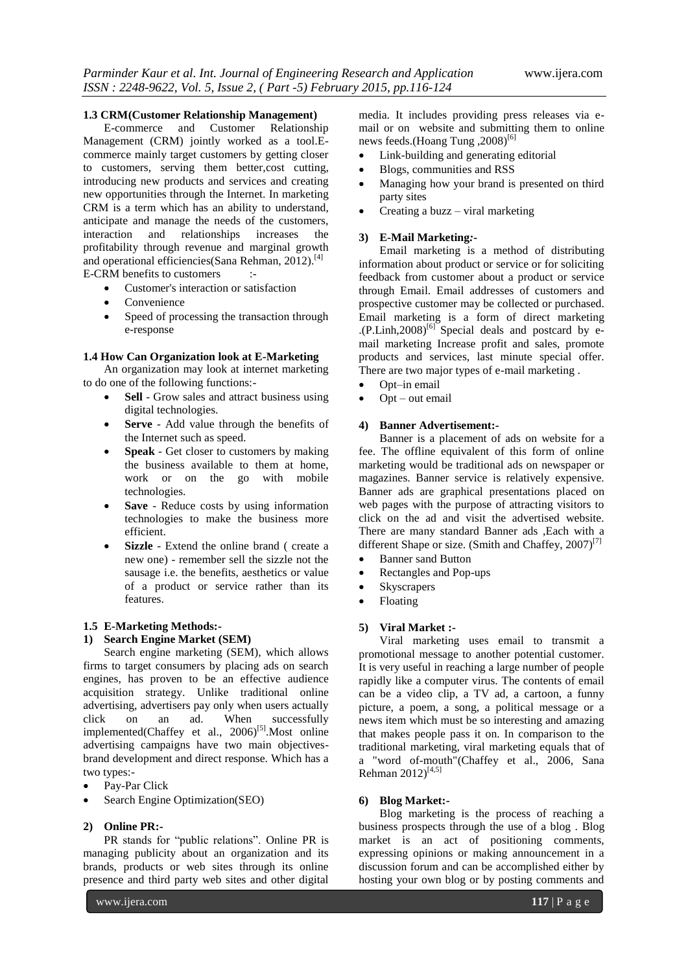#### **1.3 CRM(Customer Relationship Management)**

E-commerce and Customer Relationship Management (CRM) jointly worked as a tool.Ecommerce mainly target customers by getting closer to customers, serving them better,cost cutting, introducing new products and services and creating new opportunities through the Internet. In marketing CRM is a term which has an ability to understand, anticipate and manage the needs of the customers,<br>interaction and relationships increases the interaction and relationships increases the profitability through revenue and marginal growth and operational efficiencies (Sana Rehman, 2012).<sup>[4]</sup> E-CRM benefits to customers :-

- Customer's interaction or satisfaction
- Convenience
- Speed of processing the transaction through e-response

#### **1.4 How Can Organization look at E-Marketing**

An organization may look at internet marketing to do one of the following functions:-

- **Sell**  Grow sales and attract business using digital technologies.
- **Serve**  Add value through the benefits of the Internet such as speed.
- **Speak**  Get closer to customers by making the business available to them at home, work or on the go with mobile technologies.
- **Save**  Reduce costs by using information technologies to make the business more efficient.
- **Sizzle**  Extend the online brand ( create a new one) - remember sell the sizzle not the sausage i.e. the benefits, aesthetics or value of a product or service rather than its features.

#### **1.5 E-Marketing Methods:-**

#### **1) Search Engine Market (SEM)**

Search engine marketing (SEM), which allows firms to target consumers by placing ads on search engines, has proven to be an effective audience acquisition strategy. Unlike traditional online advertising, advertisers pay only when users actually click on an ad. When successfully implemented(Chaffey et al., 2006)<sup>[5]</sup>. Most online advertising campaigns have two main objectivesbrand development and direct response. Which has a two types:-

- Pay-Par Click
- Search Engine Optimization(SEO)

#### **2) Online PR:-**

PR stands for "public relations". Online PR is managing publicity about an organization and its brands, products or web sites through its online presence and third party web sites and other digital

media. It includes providing press releases via email or on website and submitting them to online news feeds.(Hoang Tung ,2008)<sup>[6]</sup>

- Link-building and generating editorial
- Blogs, communities and RSS
- Managing how your brand is presented on third party sites
- Creating a buzz viral marketing

#### **3) E-Mail Marketing***:-*

Email marketing is a method of distributing information about product or service or for soliciting feedback from customer about a product or service through Email. Email addresses of customers and prospective customer may be collected or purchased. Email marketing is a form of direct marketing  $(P.Linh, 2008)^{[6]}$  Special deals and postcard by email marketing Increase profit and sales, promote products and services, last minute special offer. There are two major types of e-mail marketing .

- Opt–in email
- Opt out email

#### **4) Banner Advertisement:-**

Banner is a placement of ads on website for a fee. The offline equivalent of this form of online marketing would be traditional ads on newspaper or magazines. Banner service is relatively expensive. Banner ads are graphical presentations placed on web pages with the purpose of attracting visitors to click on the ad and visit the advertised website. There are many standard Banner ads ,Each with a different Shape or size. (Smith and Chaffey,  $2007$ )<sup>[7]</sup>

- Banner sand Button
- Rectangles and Pop-ups
- Skyscrapers
- Floating

#### **5) Viral Market :-**

Viral marketing uses email to transmit a promotional message to another potential customer. It is very useful in reaching a large number of people rapidly like a computer virus. The contents of email can be a video clip, a TV ad, a cartoon, a funny picture, a poem, a song, a political message or a news item which must be so interesting and amazing that makes people pass it on. In comparison to the traditional marketing, viral marketing equals that of a "word of-mouth"(Chaffey et al., 2006, Sana Rehman  $2012$ <sup>[4,5]</sup>

#### **6) Blog Market:-**

Blog marketing is the process of reaching a business prospects through the use of a blog . Blog market is an act of positioning comments, expressing opinions or making announcement in a discussion forum and can be accomplished either by hosting your own blog or by posting comments and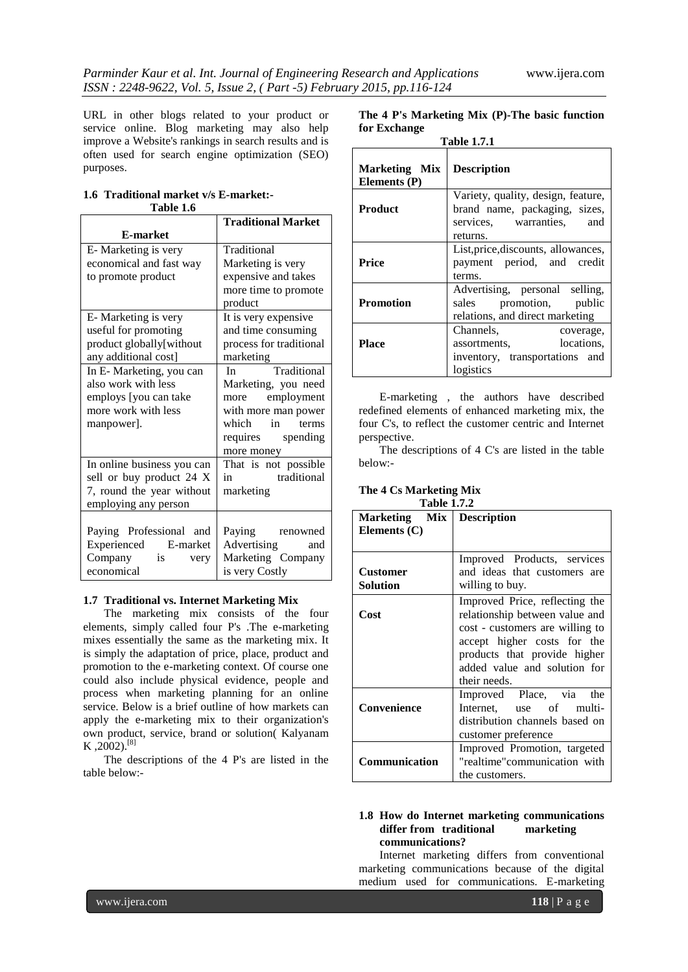URL in other blogs related to your product or service online. Blog marketing may also help improve a Website's rankings in search results and is often used for search engine optimization (SEO) purposes.

#### **1.6 Traditional market v/s E-market:- Table 1.6**

|                            | <b>Traditional Market</b>                                                                                                                                                                                                                     |  |  |
|----------------------------|-----------------------------------------------------------------------------------------------------------------------------------------------------------------------------------------------------------------------------------------------|--|--|
| <b>E-market</b>            |                                                                                                                                                                                                                                               |  |  |
| E-Marketing is very        | Traditional                                                                                                                                                                                                                                   |  |  |
| economical and fast way    | Marketing is very                                                                                                                                                                                                                             |  |  |
| to promote product         | expensive and takes                                                                                                                                                                                                                           |  |  |
|                            | more time to promote                                                                                                                                                                                                                          |  |  |
|                            | product                                                                                                                                                                                                                                       |  |  |
| E-Marketing is very        | It is very expensive                                                                                                                                                                                                                          |  |  |
| useful for promoting       | and time consuming                                                                                                                                                                                                                            |  |  |
| product globally[without   | process for traditional                                                                                                                                                                                                                       |  |  |
| any additional cost]       | marketing                                                                                                                                                                                                                                     |  |  |
| In E- Marketing, you can   | Traditional<br>In the set of the set of the set of the set of the set of the set of the set of the set of the set of the set of the set of the set of the set of the set of the set of the set of the set of the set of the set of the set of |  |  |
| also work with less        | Marketing, you need                                                                                                                                                                                                                           |  |  |
| employs [you can take      | more employment                                                                                                                                                                                                                               |  |  |
| more work with less        | with more man power                                                                                                                                                                                                                           |  |  |
| manpower].                 | which in terms                                                                                                                                                                                                                                |  |  |
|                            | requires spending                                                                                                                                                                                                                             |  |  |
|                            | more money                                                                                                                                                                                                                                    |  |  |
| In online business you can | That is not possible                                                                                                                                                                                                                          |  |  |
| sell or buy product 24 X   | traditional<br>in                                                                                                                                                                                                                             |  |  |
| 7, round the year without  | marketing                                                                                                                                                                                                                                     |  |  |
| employing any person       |                                                                                                                                                                                                                                               |  |  |
|                            |                                                                                                                                                                                                                                               |  |  |
| Paying Professional and    | Paying renowned                                                                                                                                                                                                                               |  |  |
| Experienced E-market       | Advertising<br>and                                                                                                                                                                                                                            |  |  |
| Company<br>is<br>very      | Marketing Company                                                                                                                                                                                                                             |  |  |
| economical                 | is very Costly                                                                                                                                                                                                                                |  |  |

#### **1.7 Traditional vs. Internet Marketing Mix**

The marketing mix consists of the four elements, simply called four P's .The e-marketing mixes essentially the same as the marketing mix. It is simply the adaptation of price, place, product and promotion to the e-marketing context. Of course one could also include physical evidence, people and process when marketing planning for an online service. Below is a brief outline of how markets can apply the e-marketing mix to their organization's own product, service, brand or solution( Kalyanam  $K$ , 2002).<sup>[8]</sup>

The descriptions of the 4 P's are listed in the table below:-

**The 4 P's Marketing Mix (P)-The basic function for Exchange**

| <b>Table 1.7.1</b>                   |                                                                                                              |  |  |  |
|--------------------------------------|--------------------------------------------------------------------------------------------------------------|--|--|--|
| <b>Marketing Mix</b><br>Elements (P) | <b>Description</b>                                                                                           |  |  |  |
| <b>Product</b>                       | Variety, quality, design, feature,<br>brand name, packaging, sizes,<br>services, warranties, and<br>returns. |  |  |  |
| Price                                | List, price, discounts, allowances,<br>payment period, and credit<br>terms.                                  |  |  |  |
| <b>Promotion</b>                     | Advertising, personal selling,<br>promotion, public<br>sales<br>relations, and direct marketing              |  |  |  |
| Place                                | Channels,<br>coverage,<br>locations.<br>assortments,<br>inventory, transportations and<br>logistics          |  |  |  |

E-marketing , the authors have described redefined elements of enhanced marketing mix, the four C's, to reflect the customer centric and Internet perspective.

The descriptions of 4 C's are listed in the table below:-

**The 4 Cs Marketing Mix**

| <b>Table 1.7.2</b> |                                 |  |  |
|--------------------|---------------------------------|--|--|
| Marketing Mix      | <b>Description</b>              |  |  |
| Elements $(C)$     |                                 |  |  |
|                    |                                 |  |  |
|                    | Improved Products, services     |  |  |
| <b>Customer</b>    | and ideas that customers are    |  |  |
| Solution           | willing to buy.                 |  |  |
|                    | Improved Price, reflecting the  |  |  |
| Cost               | relationship between value and  |  |  |
|                    | cost - customers are willing to |  |  |
|                    | accept higher costs for the     |  |  |
|                    | products that provide higher    |  |  |
|                    | added value and solution for    |  |  |
|                    | their needs.                    |  |  |
|                    | Improved Place, via the         |  |  |
| Convenience        | Internet, use of multi-         |  |  |
|                    | distribution channels based on  |  |  |
|                    | customer preference             |  |  |
|                    | Improved Promotion, targeted    |  |  |
| Communication      | "realtime" communication with   |  |  |
|                    | the customers.                  |  |  |

#### **1.8 How do Internet marketing communications differ from traditional marketing communications?**

Internet marketing differs from conventional marketing communications because of the digital medium used for communications. E-marketing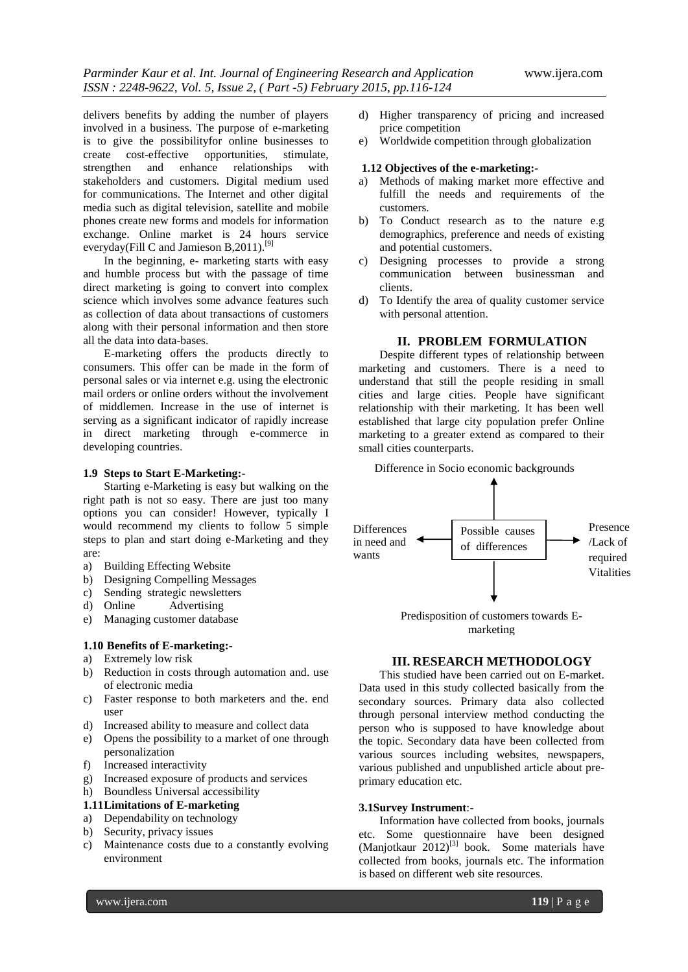delivers benefits by adding the number of players involved in a business. The purpose of e-marketing is to give the possibilityfor online businesses to create cost-effective opportunities, stimulate, strengthen and enhance relationships with stakeholders and customers. Digital medium used for communications. The Internet and other digital media such as digital television, satellite and mobile phones create new forms and models for information exchange. Online market is 24 hours service everyday(Fill C and Jamieson B, 2011).<sup>[9]</sup>

In the beginning, e- marketing starts with easy and humble process but with the passage of time direct marketing is going to convert into complex science which involves some advance features such as collection of data about transactions of customers along with their personal information and then store all the data into data-bases.

E-marketing offers the products directly to consumers. This offer can be made in the form of personal sales or via internet e.g. using the electronic mail orders or online orders without the involvement of middlemen. Increase in the use of internet is serving as a significant indicator of rapidly increase in direct marketing through e-commerce in developing countries.

#### **1.9 Steps to Start E-Marketing:-**

Starting e-Marketing is easy but walking on the right path is not so easy. There are just too many options you can consider! However, typically I would recommend my clients to follow 5 simple steps to plan and start doing e-Marketing and they are:

- a) Building Effecting Website
- b) Designing Compelling Messages
- c) Sending strategic newsletters
- d) Online Advertising
- e) Managing customer database

#### **1.10 Benefits of E-marketing:-**

- a) Extremely low risk
- b) Reduction in costs through automation and. use of electronic media
- c) Faster response to both marketers and the. end user
- d) Increased ability to measure and collect data
- e) Opens the possibility to a market of one through personalization
- f) Increased interactivity
- g) Increased exposure of products and services
- h) Boundless Universal accessibility

### **1.11Limitations of E-marketing**

- a) Dependability on technology
- b) Security, privacy issues
- c) Maintenance costs due to a constantly evolving environment
- d) Higher transparency of pricing and increased price competition
- e) Worldwide competition through globalization

#### **1.12 Objectives of the e-marketing:-**

- a) Methods of making market more effective and fulfill the needs and requirements of the customers.
- b) To Conduct research as to the nature e.g demographics, preference and needs of existing and potential customers.
- c) Designing processes to provide a strong communication between businessman and clients.
- d) To Identify the area of quality customer service with personal attention.

#### **II. PROBLEM FORMULATION**

Despite different types of relationship between marketing and customers. There is a need to understand that still the people residing in small cities and large cities. People have significant relationship with their marketing. It has been well established that large city population prefer Online marketing to a greater extend as compared to their small cities counterparts.

Difference in Socio economic backgrounds



marketing

#### **III. RESEARCH METHODOLOGY**

This studied have been carried out on E-market. Data used in this study collected basically from the secondary sources. Primary data also collected through personal interview method conducting the person who is supposed to have knowledge about the topic. Secondary data have been collected from various sources including websites, newspapers, various published and unpublished article about preprimary education etc.

#### **3.1Survey Instrument**:-

Information have collected from books, journals etc. Some questionnaire have been designed (Manjotkaur  $2012$ <sup>[3]</sup> book. Some materials have collected from books, journals etc. The information is based on different web site resources.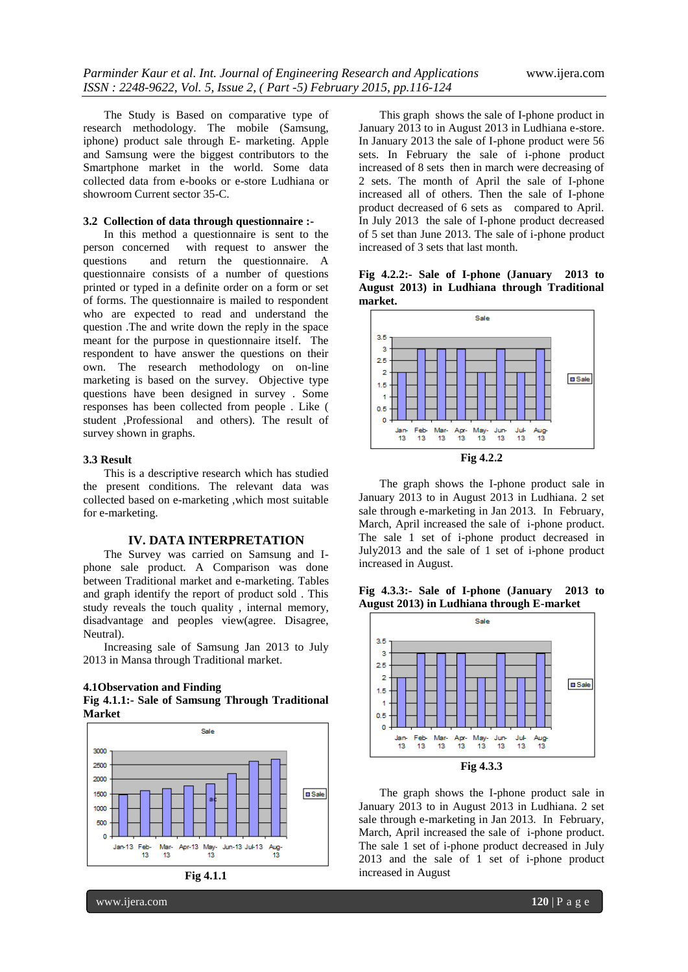The Study is Based on comparative type of research methodology. The mobile (Samsung, iphone) product sale through E- marketing. Apple and Samsung were the biggest contributors to the Smartphone market in the world. Some data collected data from e-books or e-store Ludhiana or showroom Current sector 35-C.

#### **3.2 Collection of data through questionnaire :-**

In this method a questionnaire is sent to the person concerned with request to answer the with request to answer the questions and return the questionnaire. A questionnaire consists of a number of questions printed or typed in a definite order on a form or set of forms. The questionnaire is mailed to respondent who are expected to read and understand the question .The and write down the reply in the space meant for the purpose in questionnaire itself. The respondent to have answer the questions on their own. The research methodology on on-line marketing is based on the survey. Objective type questions have been designed in survey . Some responses has been collected from people . Like ( student ,Professional and others). The result of survey shown in graphs.

#### **3.3 Result**

This is a descriptive research which has studied the present conditions. The relevant data was collected based on e-marketing ,which most suitable for e-marketing.

#### **IV. DATA INTERPRETATION**

The Survey was carried on Samsung and Iphone sale product. A Comparison was done between Traditional market and e-marketing. Tables and graph identify the report of product sold . This study reveals the touch quality , internal memory, disadvantage and peoples view(agree. Disagree, Neutral).

Increasing sale of Samsung Jan 2013 to July 2013 in Mansa through Traditional market.







This graph shows the sale of I-phone product in January 2013 to in August 2013 in Ludhiana e-store. In January 2013 the sale of I-phone product were 56 sets. In February the sale of i-phone product increased of 8 sets then in march were decreasing of 2 sets. The month of April the sale of I-phone increased all of others. Then the sale of I-phone product decreased of 6 sets as compared to April. In July 2013 the sale of I-phone product decreased of 5 set than June 2013. The sale of i-phone product increased of 3 sets that last month.

**Fig 4.2.2:- Sale of I-phone (January 2013 to August 2013) in Ludhiana through Traditional market.**



The graph shows the I-phone product sale in January 2013 to in August 2013 in Ludhiana. 2 set sale through e-marketing in Jan 2013. In February, March, April increased the sale of i-phone product. The sale 1 set of i-phone product decreased in July2013 and the sale of 1 set of i-phone product increased in August.

**Fig 4.3.3:- Sale of I-phone (January 2013 to August 2013) in Ludhiana through E-market**



The graph shows the I-phone product sale in January 2013 to in August 2013 in Ludhiana. 2 set sale through e-marketing in Jan 2013. In February, March, April increased the sale of i-phone product. The sale 1 set of i-phone product decreased in July 2013 and the sale of 1 set of i-phone product increased in August

www.ijera.com **120** | P a g e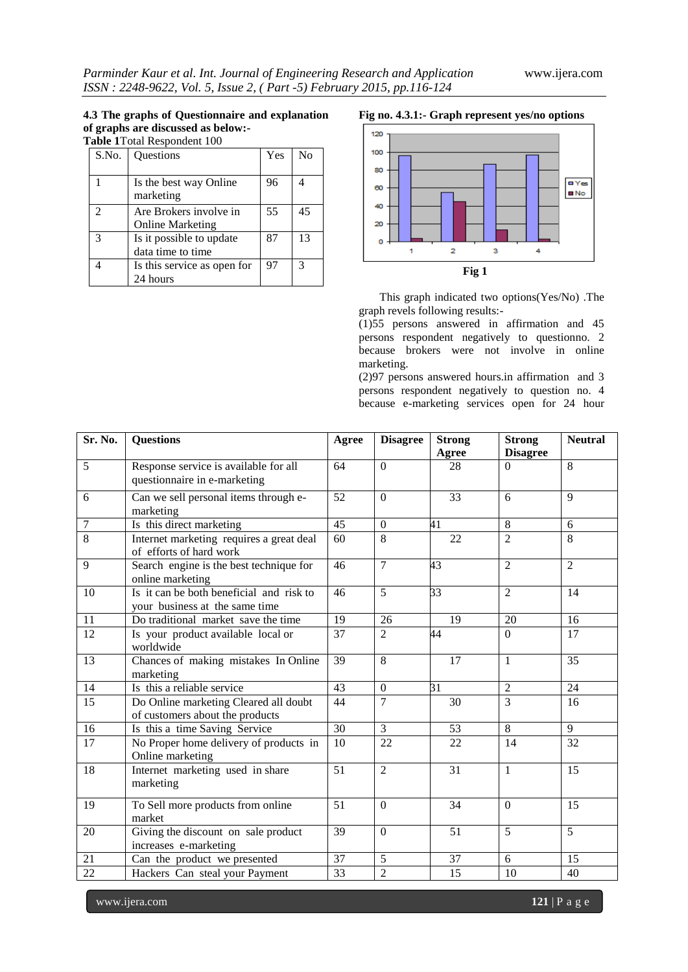## **4.3 The graphs of Questionnaire and explanation of graphs are discussed as below:-**

**Table 1**Total Respondent 100

| S.No. | Questions                                         | Yes | No |
|-------|---------------------------------------------------|-----|----|
|       | Is the best way Online<br>marketing               | 96  |    |
|       | Are Brokers involve in<br><b>Online Marketing</b> | 55  | 45 |
| 3     | Is it possible to update<br>data time to time     | 87  | 13 |
|       | Is this service as open for<br>24 hours           | 97  | 3  |

#### **Fig no. 4.3.1:- Graph represent yes/no options**



This graph indicated two options(Yes/No) .The graph revels following results:-

(1)55 persons answered in affirmation and 45 persons respondent negatively to questionno. 2 because brokers were not involve in online marketing.

(2)97 persons answered hours.in affirmation and 3 persons respondent negatively to question no. 4 because e-marketing services open for 24 hour

| Sr. No.         | <b>Questions</b>                                                           | Agree           | <b>Disagree</b>  | <b>Strong</b><br>Agree | <b>Strong</b><br><b>Disagree</b> | <b>Neutral</b>  |
|-----------------|----------------------------------------------------------------------------|-----------------|------------------|------------------------|----------------------------------|-----------------|
| 5               | Response service is available for all<br>questionnaire in e-marketing      | 64              | $\Omega$         | 28                     | $\Omega$                         | 8               |
| 6               | Can we sell personal items through e-<br>marketing                         | 52              | $\Omega$         | 33                     | 6                                | 9               |
| 7               | Is this direct marketing                                                   | 45              | $\Omega$         | 41                     | 8                                | 6               |
| 8               | Internet marketing requires a great deal<br>of efforts of hard work        | 60              | 8                | $\overline{22}$        | $\overline{2}$                   | 8               |
| 9               | Search engine is the best technique for<br>online marketing                | 46              | $\overline{7}$   | 43                     | $\overline{2}$                   | $\overline{2}$  |
| 10              | Is it can be both beneficial and risk to<br>your business at the same time | 46              | 5                | 33                     | 2                                | 14              |
| 11              | Do traditional market save the time                                        | 19              | 26               | 19                     | 20                               | 16              |
| $\overline{12}$ | Is your product available local or<br>worldwide                            | 37              | $\overline{2}$   | 44                     | $\Omega$                         | $\overline{17}$ |
| $\overline{13}$ | Chances of making mistakes In Online<br>marketing                          | $\overline{39}$ | $\overline{8}$   | 17                     | 1                                | $\overline{35}$ |
| 14              | Is this a reliable service                                                 | 43              | $\boldsymbol{0}$ | 31                     | $\overline{2}$                   | 24              |
| 15              | Do Online marketing Cleared all doubt<br>of customers about the products   | 44              | $\overline{7}$   | 30                     | 3                                | 16              |
| 16              | Is this a time Saving Service                                              | 30              | 3                | 53                     | 8                                | $\overline{9}$  |
| $\overline{17}$ | No Proper home delivery of products in<br>Online marketing                 | 10              | 22               | 22                     | 14                               | 32              |
| 18              | Internet marketing used in share<br>marketing                              | 51              | $\overline{2}$   | 31                     | $\mathbf{1}$                     | 15              |
| 19              | To Sell more products from online<br>market                                | 51              | $\overline{0}$   | 34                     | $\mathbf{0}$                     | 15              |
| 20              | Giving the discount on sale product<br>increases e-marketing               | 39              | $\Omega$         | 51                     | 5                                | 5               |
| 21              | Can the product we presented                                               | 37              | $\overline{5}$   | 37                     | 6                                | 15              |
| 22              | Hackers Can steal your Payment                                             | 33              | $\overline{2}$   | 15                     | 10                               | 40              |

www.ijera.com **121** | P a g e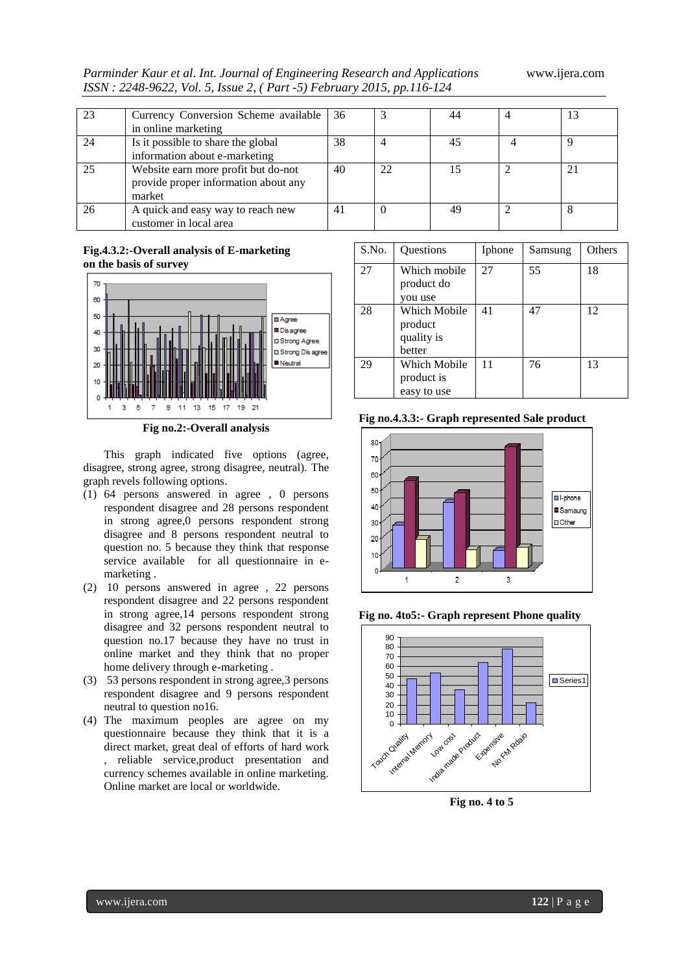*Parminder Kaur et al. Int. Journal of Engineering Research and Applications* www.ijera.com *ISSN : 2248-9622, Vol. 5, Issue 2, ( Part -5) February 2015, pp.116-124*

| 23 | Currency Conversion Scheme available | 36 |    | 44 | 13 |
|----|--------------------------------------|----|----|----|----|
|    | in online marketing                  |    |    |    |    |
| 24 | Is it possible to share the global   | 38 |    | 45 | O  |
|    | information about e-marketing        |    |    |    |    |
| 25 | Website earn more profit but do-not  | 40 | 22 | 15 | 21 |
|    | provide proper information about any |    |    |    |    |
|    | market                               |    |    |    |    |
| 26 | A quick and easy way to reach new    | 41 |    | 49 |    |
|    | customer in local area               |    |    |    |    |

**Fig.4.3.2:-Overall analysis of E-marketing on the basis of survey**



**Fig no.2:-Overall analysis**

This graph indicated five options (agree, disagree, strong agree, strong disagree, neutral). The graph revels following options.

- (1) 64 persons answered in agree , 0 persons respondent disagree and 28 persons respondent in strong agree,0 persons respondent strong disagree and 8 persons respondent neutral to question no. 5 because they think that response service available for all questionnaire in emarketing .
- (2) 10 persons answered in agree , 22 persons respondent disagree and 22 persons respondent in strong agree,14 persons respondent strong disagree and 32 persons respondent neutral to question no.17 because they have no trust in online market and they think that no proper home delivery through e-marketing .
- (3) 53 persons respondent in strong agree,3 persons respondent disagree and 9 persons respondent neutral to question no16.
- (4) The maximum peoples are agree on my questionnaire because they think that it is a direct market, great deal of efforts of hard work , reliable service,product presentation and currency schemes available in online marketing. Online market are local or worldwide.

| S.No. | Questions                                              | Iphone | Samsung | Others |
|-------|--------------------------------------------------------|--------|---------|--------|
| 27    | Which mobile<br>product do<br>you use                  | 27     | 55      | 18     |
| 28    | <b>Which Mobile</b><br>product<br>quality is<br>better | 41     | 47      | 12     |
| 29    | Which Mobile<br>product is<br>easy to use              | 11     | 76      | 13     |

**Fig no.4.3.3:- Graph represented Sale product**



**Fig no. 4to5:- Graph represent Phone quality**



**Fig no. 4 to 5**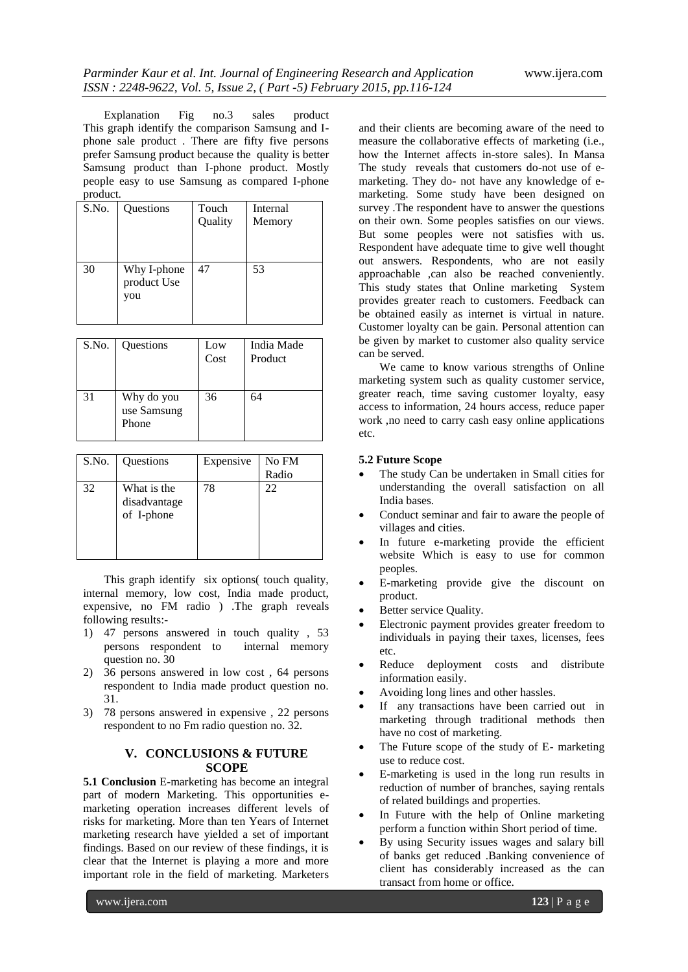Explanation Fig no.3 sales product This graph identify the comparison Samsung and Iphone sale product . There are fifty five persons prefer Samsung product because the quality is better Samsung product than I-phone product. Mostly people easy to use Samsung as compared I-phone product.

| S.No. | Questions   | Touch   | Internal |
|-------|-------------|---------|----------|
|       |             | Quality | Memory   |
|       |             |         |          |
|       |             |         |          |
|       |             |         |          |
| 30    | Why I-phone | 47      | 53       |
|       | product Use |         |          |
|       | you         |         |          |
|       |             |         |          |
|       |             |         |          |

| S.No. | Questions                          | Low<br>Cost | India Made<br>Product |
|-------|------------------------------------|-------------|-----------------------|
| 31    | Why do you<br>use Samsung<br>Phone | 36          | 64                    |

| S.No. | Questions                                 | Expensive | No FM |
|-------|-------------------------------------------|-----------|-------|
|       |                                           |           | Radio |
| 32    | What is the<br>disadvantage<br>of I-phone | 78        | 22    |

This graph identify six options( touch quality, internal memory, low cost, India made product, expensive, no FM radio ) .The graph reveals following results:-

- 1) 47 persons answered in touch quality , 53 persons respondent to internal memory question no. 30
- 2) 36 persons answered in low cost , 64 persons respondent to India made product question no. 31.
- 3) 78 persons answered in expensive , 22 persons respondent to no Fm radio question no. 32.

### **V. CONCLUSIONS & FUTURE SCOPE**

**5.1 Conclusion** E-marketing has become an integral part of modern Marketing. This opportunities emarketing operation increases different levels of risks for marketing. More than ten Years of Internet marketing research have yielded a set of important findings. Based on our review of these findings, it is clear that the Internet is playing a more and more important role in the field of marketing. Marketers

and their clients are becoming aware of the need to measure the collaborative effects of marketing (i.e., how the Internet affects in-store sales). In Mansa The study reveals that customers do-not use of emarketing. They do- not have any knowledge of emarketing. Some study have been designed on survey .The respondent have to answer the questions on their own. Some peoples satisfies on our views. But some peoples were not satisfies with us. Respondent have adequate time to give well thought out answers. Respondents, who are not easily approachable ,can also be reached conveniently. This study states that Online marketing System provides greater reach to customers. Feedback can be obtained easily as internet is virtual in nature. Customer loyalty can be gain. Personal attention can be given by market to customer also quality service can be served.

We came to know various strengths of Online marketing system such as quality customer service, greater reach, time saving customer loyalty, easy access to information, 24 hours access, reduce paper work ,no need to carry cash easy online applications etc.

#### **5.2 Future Scope**

- The study Can be undertaken in Small cities for understanding the overall satisfaction on all India bases.
- Conduct seminar and fair to aware the people of villages and cities.
- In future e-marketing provide the efficient website Which is easy to use for common peoples.
- E-marketing provide give the discount on product.
- Better service Quality.
- Electronic payment provides greater freedom to individuals in paying their taxes, licenses, fees etc.
- Reduce deployment costs and distribute information easily.
- Avoiding long lines and other hassles.
- If any transactions have been carried out in marketing through traditional methods then have no cost of marketing.
- The Future scope of the study of E- marketing use to reduce cost.
- E-marketing is used in the long run results in reduction of number of branches, saying rentals of related buildings and properties.
- In Future with the help of Online marketing perform a function within Short period of time.
- By using Security issues wages and salary bill of banks get reduced .Banking convenience of client has considerably increased as the can transact from home or office.